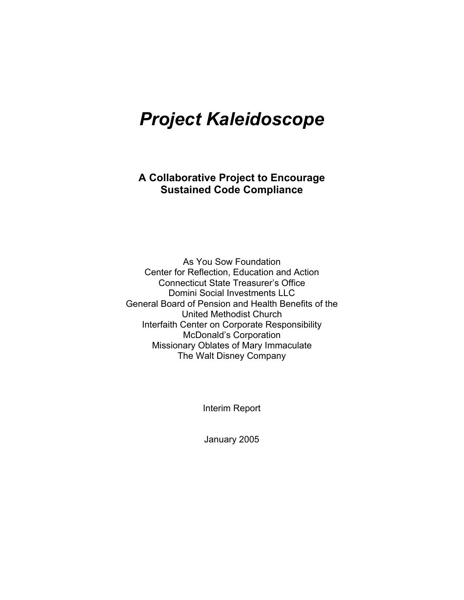# *Project Kaleidoscope*

**A Collaborative Project to Encourage Sustained Code Compliance**

As You Sow Foundation Center for Reflection, Education and Action Connecticut State Treasurer's Office Domini Social Investments LLC General Board of Pension and Health Benefits of the United Methodist Church Interfaith Center on Corporate Responsibility McDonald's Corporation Missionary Oblates of Mary Immaculate The Walt Disney Company

Interim Report

January 2005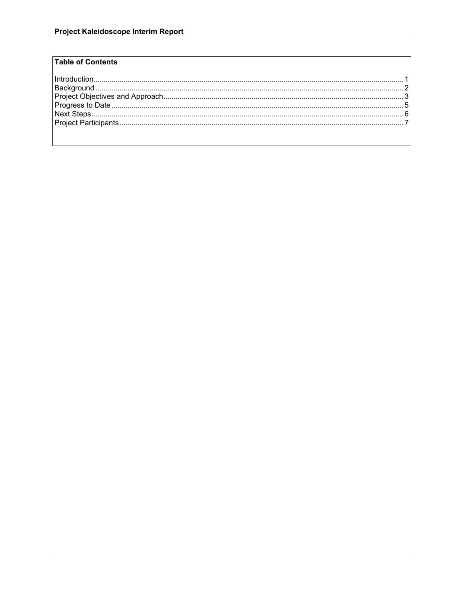## **Table of Contents**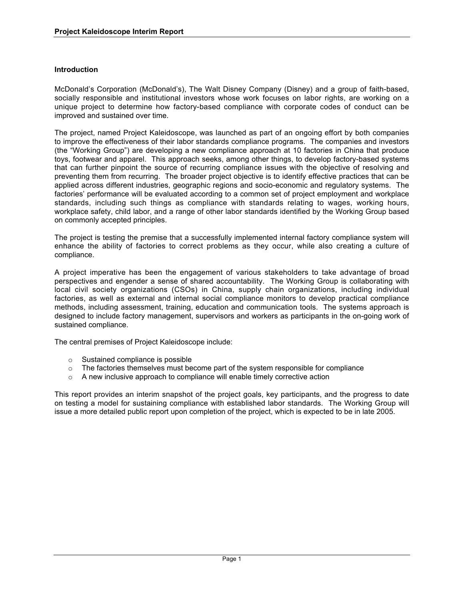## **Introduction**

McDonald's Corporation (McDonald's), The Walt Disney Company (Disney) and a group of faith-based, socially responsible and institutional investors whose work focuses on labor rights, are working on a unique project to determine how factory-based compliance with corporate codes of conduct can be improved and sustained over time.

The project, named Project Kaleidoscope, was launched as part of an ongoing effort by both companies to improve the effectiveness of their labor standards compliance programs. The companies and investors (the "Working Group") are developing a new compliance approach at 10 factories in China that produce toys, footwear and apparel. This approach seeks, among other things, to develop factory-based systems that can further pinpoint the source of recurring compliance issues with the objective of resolving and preventing them from recurring. The broader project objective is to identify effective practices that can be applied across different industries, geographic regions and socio-economic and regulatory systems. The factories' performance will be evaluated according to a common set of project employment and workplace standards, including such things as compliance with standards relating to wages, working hours, workplace safety, child labor, and a range of other labor standards identified by the Working Group based on commonly accepted principles.

The project is testing the premise that a successfully implemented internal factory compliance system will enhance the ability of factories to correct problems as they occur, while also creating a culture of compliance.

A project imperative has been the engagement of various stakeholders to take advantage of broad perspectives and engender a sense of shared accountability. The Working Group is collaborating with local civil society organizations (CSOs) in China, supply chain organizations, including individual factories, as well as external and internal social compliance monitors to develop practical compliance methods, including assessment, training, education and communication tools. The systems approach is designed to include factory management, supervisors and workers as participants in the on-going work of sustained compliance.

The central premises of Project Kaleidoscope include:

- o Sustained compliance is possible
- $\circ$  The factories themselves must become part of the system responsible for compliance
- $\circ$  A new inclusive approach to compliance will enable timely corrective action

This report provides an interim snapshot of the project goals, key participants, and the progress to date on testing a model for sustaining compliance with established labor standards. The Working Group will issue a more detailed public report upon completion of the project, which is expected to be in late 2005.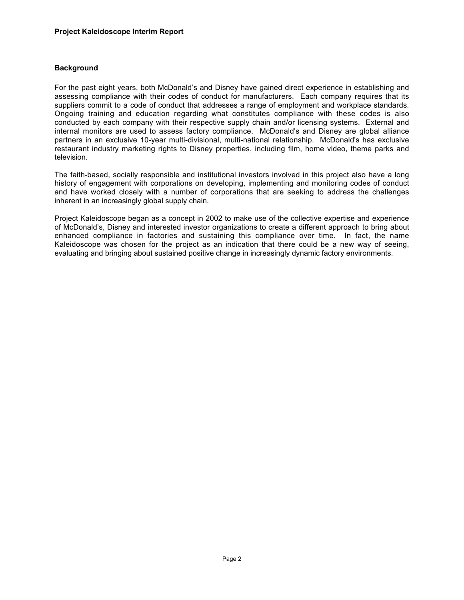## **Background**

For the past eight years, both McDonald's and Disney have gained direct experience in establishing and assessing compliance with their codes of conduct for manufacturers. Each company requires that its suppliers commit to a code of conduct that addresses a range of employment and workplace standards. Ongoing training and education regarding what constitutes compliance with these codes is also conducted by each company with their respective supply chain and/or licensing systems. External and internal monitors are used to assess factory compliance. McDonald's and Disney are global alliance partners in an exclusive 10-year multi-divisional, multi-national relationship. McDonald's has exclusive restaurant industry marketing rights to Disney properties, including film, home video, theme parks and television.

The faith-based, socially responsible and institutional investors involved in this project also have a long history of engagement with corporations on developing, implementing and monitoring codes of conduct and have worked closely with a number of corporations that are seeking to address the challenges inherent in an increasingly global supply chain.

Project Kaleidoscope began as a concept in 2002 to make use of the collective expertise and experience of McDonald's, Disney and interested investor organizations to create a different approach to bring about enhanced compliance in factories and sustaining this compliance over time. In fact, the name Kaleidoscope was chosen for the project as an indication that there could be a new way of seeing, evaluating and bringing about sustained positive change in increasingly dynamic factory environments.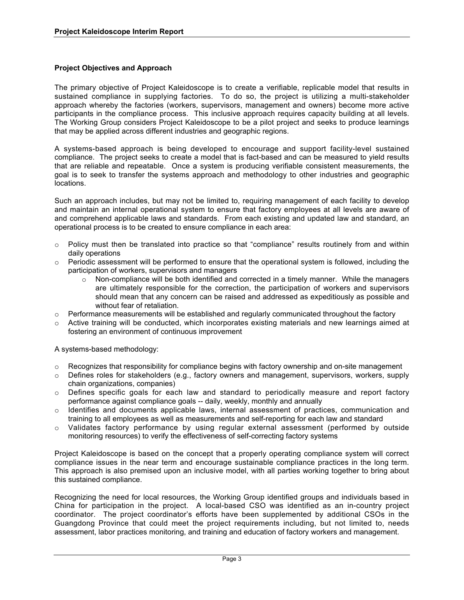## **Project Objectives and Approach**

The primary objective of Project Kaleidoscope is to create a verifiable, replicable model that results in sustained compliance in supplying factories. To do so, the project is utilizing a multi-stakeholder approach whereby the factories (workers, supervisors, management and owners) become more active participants in the compliance process. This inclusive approach requires capacity building at all levels. The Working Group considers Project Kaleidoscope to be a pilot project and seeks to produce learnings that may be applied across different industries and geographic regions.

A systems-based approach is being developed to encourage and support facility-level sustained compliance. The project seeks to create a model that is fact-based and can be measured to yield results that are reliable and repeatable. Once a system is producing verifiable consistent measurements, the goal is to seek to transfer the systems approach and methodology to other industries and geographic locations.

Such an approach includes, but may not be limited to, requiring management of each facility to develop and maintain an internal operational system to ensure that factory employees at all levels are aware of and comprehend applicable laws and standards. From each existing and updated law and standard, an operational process is to be created to ensure compliance in each area:

- o Policy must then be translated into practice so that "compliance" results routinely from and within daily operations
- $\circ$  Periodic assessment will be performed to ensure that the operational system is followed, including the participation of workers, supervisors and managers
	- $\circ$  Non-compliance will be both identified and corrected in a timely manner. While the managers are ultimately responsible for the correction, the participation of workers and supervisors should mean that any concern can be raised and addressed as expeditiously as possible and without fear of retaliation.
- $\circ$  Performance measurements will be established and regularly communicated throughout the factory
- $\circ$  Active training will be conducted, which incorporates existing materials and new learnings aimed at fostering an environment of continuous improvement

A systems-based methodology:

- o Recognizes that responsibility for compliance begins with factory ownership and on-site management
- o Defines roles for stakeholders (e.g., factory owners and management, supervisors, workers, supply chain organizations, companies)
- $\circ$  Defines specific goals for each law and standard to periodically measure and report factory performance against compliance goals -- daily, weekly, monthly and annually
- $\circ$  Identifies and documents applicable laws, internal assessment of practices, communication and training to all employees as well as measurements and self-reporting for each law and standard
- Validates factory performance by using regular external assessment (performed by outside monitoring resources) to verify the effectiveness of self-correcting factory systems

Project Kaleidoscope is based on the concept that a properly operating compliance system will correct compliance issues in the near term and encourage sustainable compliance practices in the long term. This approach is also premised upon an inclusive model, with all parties working together to bring about this sustained compliance.

Recognizing the need for local resources, the Working Group identified groups and individuals based in China for participation in the project. A local-based CSO was identified as an in-country project coordinator. The project coordinator's efforts have been supplemented by additional CSOs in the Guangdong Province that could meet the project requirements including, but not limited to, needs assessment, labor practices monitoring, and training and education of factory workers and management.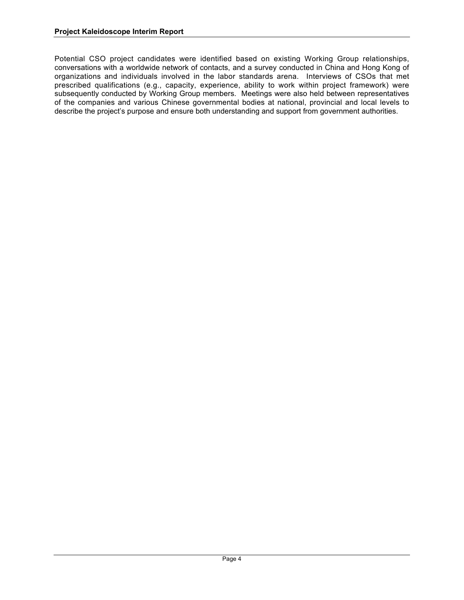Potential CSO project candidates were identified based on existing Working Group relationships, conversations with a worldwide network of contacts, and a survey conducted in China and Hong Kong of organizations and individuals involved in the labor standards arena. Interviews of CSOs that met prescribed qualifications (e.g., capacity, experience, ability to work within project framework) were subsequently conducted by Working Group members. Meetings were also held between representatives of the companies and various Chinese governmental bodies at national, provincial and local levels to describe the project's purpose and ensure both understanding and support from government authorities.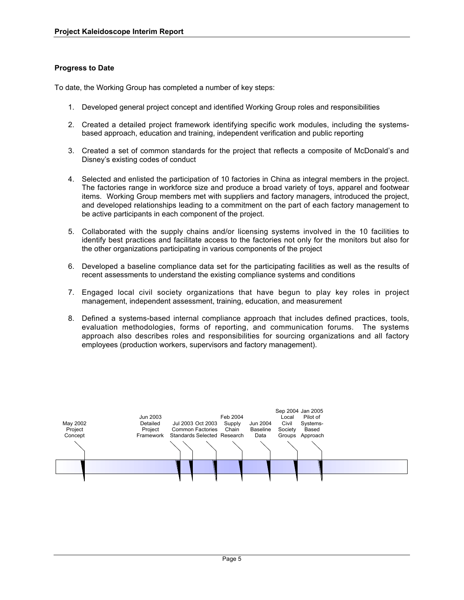## **Progress to Date**

To date, the Working Group has completed a number of key steps:

- 1. Developed general project concept and identified Working Group roles and responsibilities
- 2. Created a detailed project framework identifying specific work modules, including the systemsbased approach, education and training, independent verification and public reporting
- 3. Created a set of common standards for the project that reflects a composite of McDonald's and Disney's existing codes of conduct
- 4. Selected and enlisted the participation of 10 factories in China as integral members in the project. The factories range in workforce size and produce a broad variety of toys, apparel and footwear items. Working Group members met with suppliers and factory managers, introduced the project, and developed relationships leading to a commitment on the part of each factory management to be active participants in each component of the project.
- 5. Collaborated with the supply chains and/or licensing systems involved in the 10 facilities to identify best practices and facilitate access to the factories not only for the monitors but also for the other organizations participating in various components of the project
- 6. Developed a baseline compliance data set for the participating facilities as well as the results of recent assessments to understand the existing compliance systems and conditions
- 7. Engaged local civil society organizations that have begun to play key roles in project management, independent assessment, training, education, and measurement
- 8. Defined a systems-based internal compliance approach that includes defined practices, tools, evaluation methodologies, forms of reporting, and communication forums. The systems approach also describes roles and responsibilities for sourcing organizations and all factory employees (production workers, supervisors and factory management).

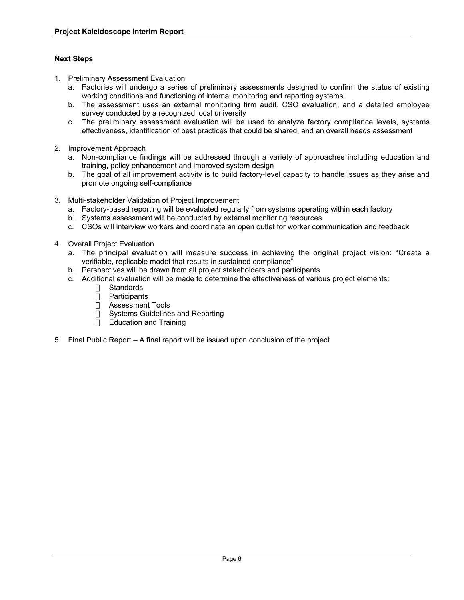## **Next Steps**

- 1. Preliminary Assessment Evaluation
	- a. Factories will undergo a series of preliminary assessments designed to confirm the status of existing working conditions and functioning of internal monitoring and reporting systems
	- b. The assessment uses an external monitoring firm audit, CSO evaluation, and a detailed employee survey conducted by a recognized local university
	- c. The preliminary assessment evaluation will be used to analyze factory compliance levels, systems effectiveness, identification of best practices that could be shared, and an overall needs assessment
- 2. Improvement Approach
	- a. Non-compliance findings will be addressed through a variety of approaches including education and training, policy enhancement and improved system design
	- b. The goal of all improvement activity is to build factory-level capacity to handle issues as they arise and promote ongoing self-compliance
- 3. Multi-stakeholder Validation of Project Improvement
	- a. Factory-based reporting will be evaluated regularly from systems operating within each factory
	- b. Systems assessment will be conducted by external monitoring resources
	- c. CSOs will interview workers and coordinate an open outlet for worker communication and feedback
- 4. Overall Project Evaluation
	- a. The principal evaluation will measure success in achieving the original project vision: "Create a verifiable, replicable model that results in sustained compliance"
	- b. Perspectives will be drawn from all project stakeholders and participants
	- c. Additional evaluation will be made to determine the effectiveness of various project elements:
		- Standards
		- Participants
		- Assessment Tools
		- Systems Guidelines and Reporting
		- Education and Training
- 5. Final Public Report A final report will be issued upon conclusion of the project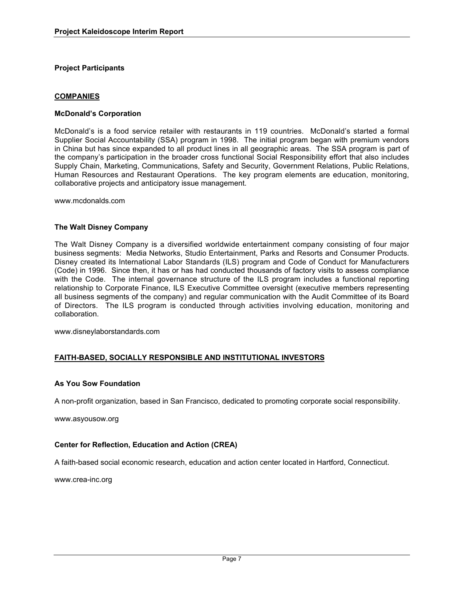#### **Project Participants**

#### **COMPANIES**

#### **McDonald's Corporation**

McDonald's is a food service retailer with restaurants in 119 countries. McDonald's started a formal Supplier Social Accountability (SSA) program in 1998. The initial program began with premium vendors in China but has since expanded to all product lines in all geographic areas. The SSA program is part of the company's participation in the broader cross functional Social Responsibility effort that also includes Supply Chain, Marketing, Communications, Safety and Security, Government Relations, Public Relations, Human Resources and Restaurant Operations. The key program elements are education, monitoring, collaborative projects and anticipatory issue management.

www.mcdonalds.com

#### **The Walt Disney Company**

The Walt Disney Company is a diversified worldwide entertainment company consisting of four major business segments: Media Networks, Studio Entertainment, Parks and Resorts and Consumer Products. Disney created its International Labor Standards (ILS) program and Code of Conduct for Manufacturers (Code) in 1996. Since then, it has or has had conducted thousands of factory visits to assess compliance with the Code. The internal governance structure of the ILS program includes a functional reporting relationship to Corporate Finance, ILS Executive Committee oversight (executive members representing all business segments of the company) and regular communication with the Audit Committee of its Board of Directors. The ILS program is conducted through activities involving education, monitoring and collaboration.

www.disneylaborstandards.com

## **FAITH-BASED, SOCIALLY RESPONSIBLE AND INSTITUTIONAL INVESTORS**

#### **As You Sow Foundation**

A non-profit organization, based in San Francisco, dedicated to promoting corporate social responsibility.

www.asyousow.org

#### **Center for Reflection, Education and Action (CREA)**

A faith-based social economic research, education and action center located in Hartford, Connecticut.

www.crea-inc.org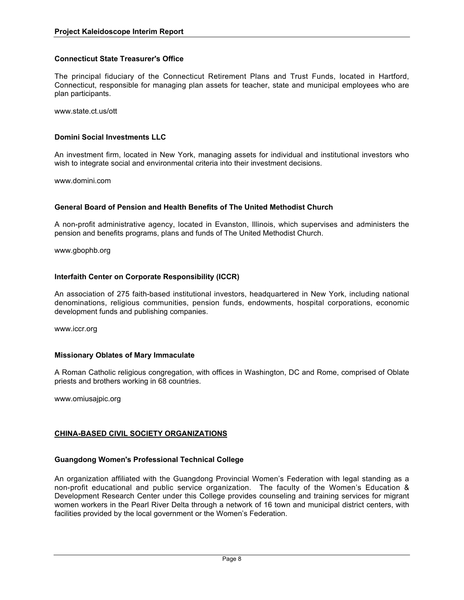## **Connecticut State Treasurer's Office**

The principal fiduciary of the Connecticut Retirement Plans and Trust Funds, located in Hartford, Connecticut, responsible for managing plan assets for teacher, state and municipal employees who are plan participants.

www.state.ct.us/ott

## **Domini Social Investments LLC**

An investment firm, located in New York, managing assets for individual and institutional investors who wish to integrate social and environmental criteria into their investment decisions.

www.domini.com

#### **General Board of Pension and Health Benefits of The United Methodist Church**

A non-profit administrative agency, located in Evanston, Illinois, which supervises and administers the pension and benefits programs, plans and funds of The United Methodist Church.

www.gbophb.org

#### **Interfaith Center on Corporate Responsibility (ICCR)**

An association of 275 faith-based institutional investors, headquartered in New York, including national denominations, religious communities, pension funds, endowments, hospital corporations, economic development funds and publishing companies.

www.iccr.org

#### **Missionary Oblates of Mary Immaculate**

A Roman Catholic religious congregation, with offices in Washington, DC and Rome, comprised of Oblate priests and brothers working in 68 countries.

www.omiusajpic.org

## **CHINA-BASED CIVIL SOCIETY ORGANIZATIONS**

#### **Guangdong Women's Professional Technical College**

An organization affiliated with the Guangdong Provincial Women's Federation with legal standing as a non-profit educational and public service organization. The faculty of the Women's Education & Development Research Center under this College provides counseling and training services for migrant women workers in the Pearl River Delta through a network of 16 town and municipal district centers, with facilities provided by the local government or the Women's Federation.